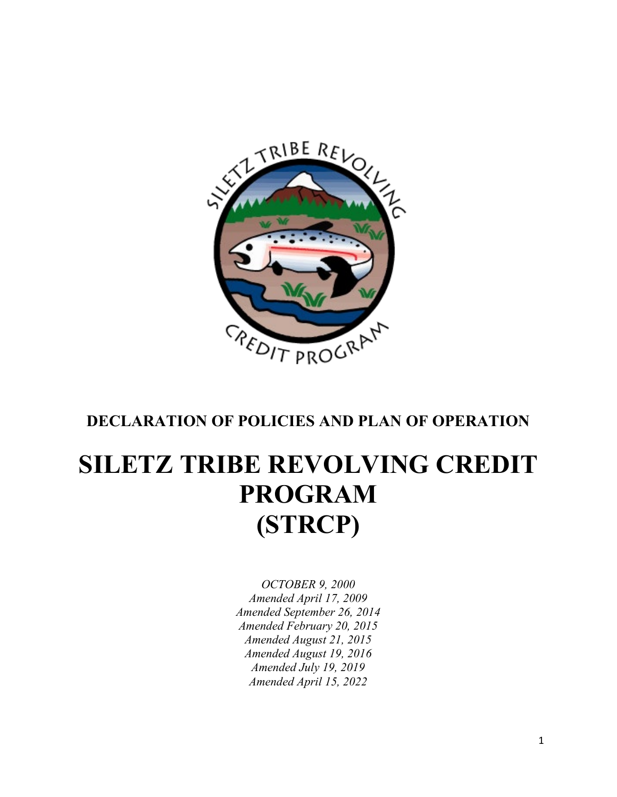

**DECLARATION OF POLICIES AND PLAN OF OPERATION**

# **SILETZ TRIBE REVOLVING CREDIT PROGRAM (STRCP)**

*OCTOBER 9, 2000 Amended April 17, 2009 Amended September 26, 2014 Amended February 20, 2015 Amended August 21, 2015 Amended August 19, 2016 Amended July 19, 2019 Amended April 15, 2022*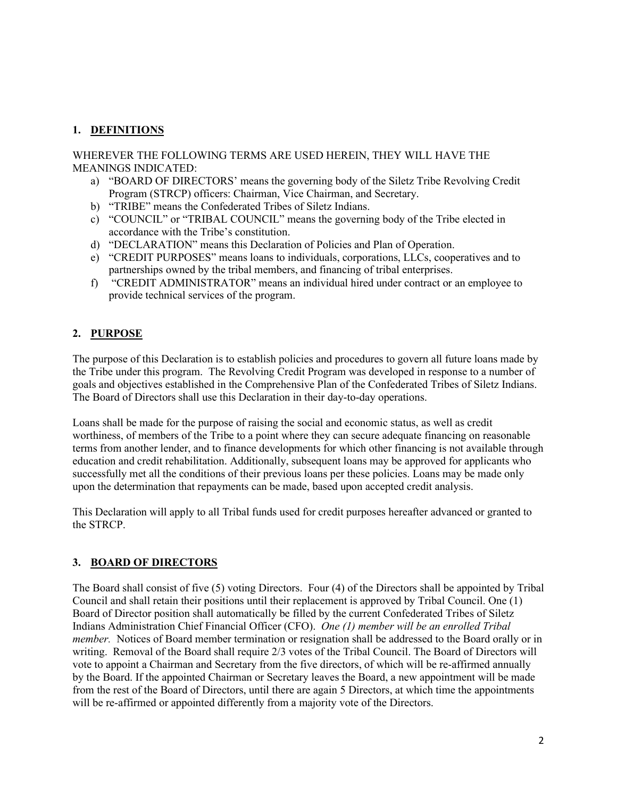## **1. DEFINITIONS**

WHEREVER THE FOLLOWING TERMS ARE USED HEREIN, THEY WILL HAVE THE MEANINGS INDICATED:

- a) "BOARD OF DIRECTORS' means the governing body of the Siletz Tribe Revolving Credit Program (STRCP) officers: Chairman, Vice Chairman, and Secretary.
- b) "TRIBE" means the Confederated Tribes of Siletz Indians.
- c) "COUNCIL" or "TRIBAL COUNCIL" means the governing body of the Tribe elected in accordance with the Tribe's constitution.
- d) "DECLARATION" means this Declaration of Policies and Plan of Operation.
- e) "CREDIT PURPOSES" means loans to individuals, corporations, LLCs, cooperatives and to partnerships owned by the tribal members, and financing of tribal enterprises.
- f) "CREDIT ADMINISTRATOR" means an individual hired under contract or an employee to provide technical services of the program.

#### **2. PURPOSE**

The purpose of this Declaration is to establish policies and procedures to govern all future loans made by the Tribe under this program. The Revolving Credit Program was developed in response to a number of goals and objectives established in the Comprehensive Plan of the Confederated Tribes of Siletz Indians. The Board of Directors shall use this Declaration in their day-to-day operations.

Loans shall be made for the purpose of raising the social and economic status, as well as credit worthiness, of members of the Tribe to a point where they can secure adequate financing on reasonable terms from another lender, and to finance developments for which other financing is not available through education and credit rehabilitation. Additionally, subsequent loans may be approved for applicants who successfully met all the conditions of their previous loans per these policies. Loans may be made only upon the determination that repayments can be made, based upon accepted credit analysis.

This Declaration will apply to all Tribal funds used for credit purposes hereafter advanced or granted to the STRCP.

#### **3. BOARD OF DIRECTORS**

The Board shall consist of five (5) voting Directors. Four (4) of the Directors shall be appointed by Tribal Council and shall retain their positions until their replacement is approved by Tribal Council. One (1) Board of Director position shall automatically be filled by the current Confederated Tribes of Siletz Indians Administration Chief Financial Officer (CFO). *One (1) member will be an enrolled Tribal member.* Notices of Board member termination or resignation shall be addressed to the Board orally or in writing. Removal of the Board shall require 2/3 votes of the Tribal Council. The Board of Directors will vote to appoint a Chairman and Secretary from the five directors, of which will be re-affirmed annually by the Board. If the appointed Chairman or Secretary leaves the Board, a new appointment will be made from the rest of the Board of Directors, until there are again 5 Directors, at which time the appointments will be re-affirmed or appointed differently from a majority vote of the Directors.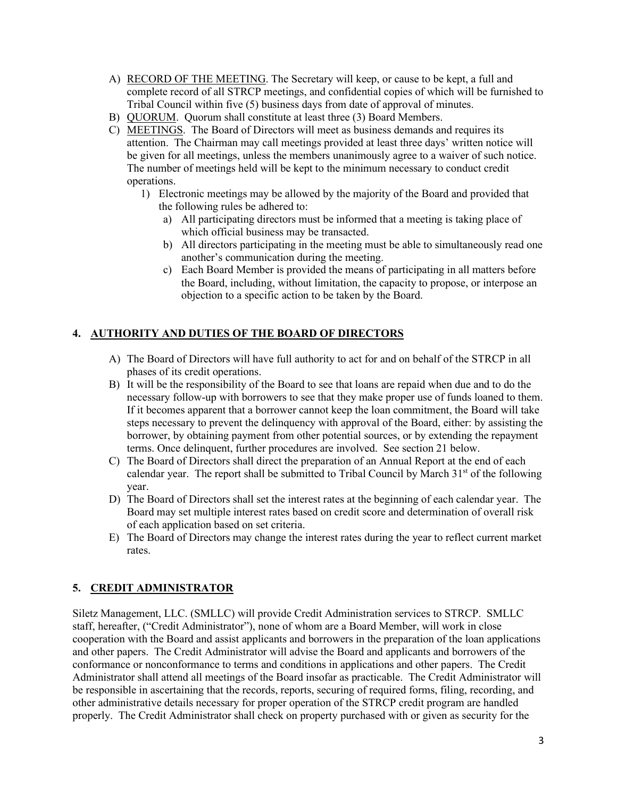- A) RECORD OF THE MEETING. The Secretary will keep, or cause to be kept, a full and complete record of all STRCP meetings, and confidential copies of which will be furnished to Tribal Council within five (5) business days from date of approval of minutes.
- B) QUORUM. Quorum shall constitute at least three (3) Board Members.
- C) MEETINGS. The Board of Directors will meet as business demands and requires its attention. The Chairman may call meetings provided at least three days' written notice will be given for all meetings, unless the members unanimously agree to a waiver of such notice. The number of meetings held will be kept to the minimum necessary to conduct credit operations.
	- 1) Electronic meetings may be allowed by the majority of the Board and provided that the following rules be adhered to:
		- a) All participating directors must be informed that a meeting is taking place of which official business may be transacted.
		- b) All directors participating in the meeting must be able to simultaneously read one another's communication during the meeting.
		- c) Each Board Member is provided the means of participating in all matters before the Board, including, without limitation, the capacity to propose, or interpose an objection to a specific action to be taken by the Board.

## **4. AUTHORITY AND DUTIES OF THE BOARD OF DIRECTORS**

- A) The Board of Directors will have full authority to act for and on behalf of the STRCP in all phases of its credit operations.
- B) It will be the responsibility of the Board to see that loans are repaid when due and to do the necessary follow-up with borrowers to see that they make proper use of funds loaned to them. If it becomes apparent that a borrower cannot keep the loan commitment, the Board will take steps necessary to prevent the delinquency with approval of the Board, either: by assisting the borrower, by obtaining payment from other potential sources, or by extending the repayment terms. Once delinquent, further procedures are involved. See section 21 below.
- C) The Board of Directors shall direct the preparation of an Annual Report at the end of each calendar year. The report shall be submitted to Tribal Council by March  $31<sup>st</sup>$  of the following year.
- D) The Board of Directors shall set the interest rates at the beginning of each calendar year. The Board may set multiple interest rates based on credit score and determination of overall risk of each application based on set criteria.
- E) The Board of Directors may change the interest rates during the year to reflect current market rates.

# **5. CREDIT ADMINISTRATOR**

Siletz Management, LLC. (SMLLC) will provide Credit Administration services to STRCP. SMLLC staff, hereafter, ("Credit Administrator"), none of whom are a Board Member, will work in close cooperation with the Board and assist applicants and borrowers in the preparation of the loan applications and other papers. The Credit Administrator will advise the Board and applicants and borrowers of the conformance or nonconformance to terms and conditions in applications and other papers. The Credit Administrator shall attend all meetings of the Board insofar as practicable. The Credit Administrator will be responsible in ascertaining that the records, reports, securing of required forms, filing, recording, and other administrative details necessary for proper operation of the STRCP credit program are handled properly. The Credit Administrator shall check on property purchased with or given as security for the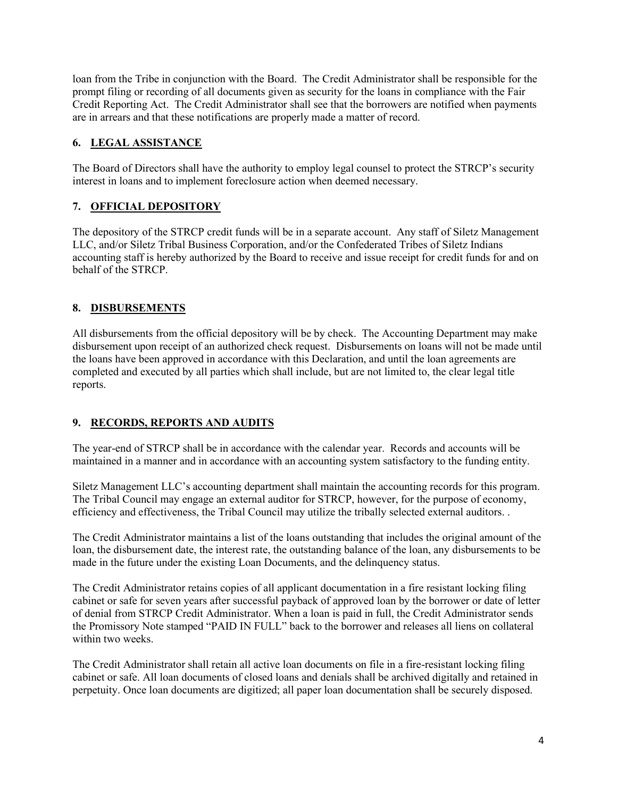loan from the Tribe in conjunction with the Board. The Credit Administrator shall be responsible for the prompt filing or recording of all documents given as security for the loans in compliance with the Fair Credit Reporting Act. The Credit Administrator shall see that the borrowers are notified when payments are in arrears and that these notifications are properly made a matter of record.

## **6. LEGAL ASSISTANCE**

The Board of Directors shall have the authority to employ legal counsel to protect the STRCP's security interest in loans and to implement foreclosure action when deemed necessary.

## **7. OFFICIAL DEPOSITORY**

The depository of the STRCP credit funds will be in a separate account. Any staff of Siletz Management LLC, and/or Siletz Tribal Business Corporation, and/or the Confederated Tribes of Siletz Indians accounting staff is hereby authorized by the Board to receive and issue receipt for credit funds for and on behalf of the STRCP.

## **8. DISBURSEMENTS**

All disbursements from the official depository will be by check. The Accounting Department may make disbursement upon receipt of an authorized check request. Disbursements on loans will not be made until the loans have been approved in accordance with this Declaration, and until the loan agreements are completed and executed by all parties which shall include, but are not limited to, the clear legal title reports.

## **9. RECORDS, REPORTS AND AUDITS**

The year-end of STRCP shall be in accordance with the calendar year. Records and accounts will be maintained in a manner and in accordance with an accounting system satisfactory to the funding entity.

Siletz Management LLC's accounting department shall maintain the accounting records for this program. The Tribal Council may engage an external auditor for STRCP, however, for the purpose of economy, efficiency and effectiveness, the Tribal Council may utilize the tribally selected external auditors. .

The Credit Administrator maintains a list of the loans outstanding that includes the original amount of the loan, the disbursement date, the interest rate, the outstanding balance of the loan, any disbursements to be made in the future under the existing Loan Documents, and the delinquency status.

The Credit Administrator retains copies of all applicant documentation in a fire resistant locking filing cabinet or safe for seven years after successful payback of approved loan by the borrower or date of letter of denial from STRCP Credit Administrator. When a loan is paid in full, the Credit Administrator sends the Promissory Note stamped "PAID IN FULL" back to the borrower and releases all liens on collateral within two weeks.

The Credit Administrator shall retain all active loan documents on file in a fire-resistant locking filing cabinet or safe. All loan documents of closed loans and denials shall be archived digitally and retained in perpetuity. Once loan documents are digitized; all paper loan documentation shall be securely disposed.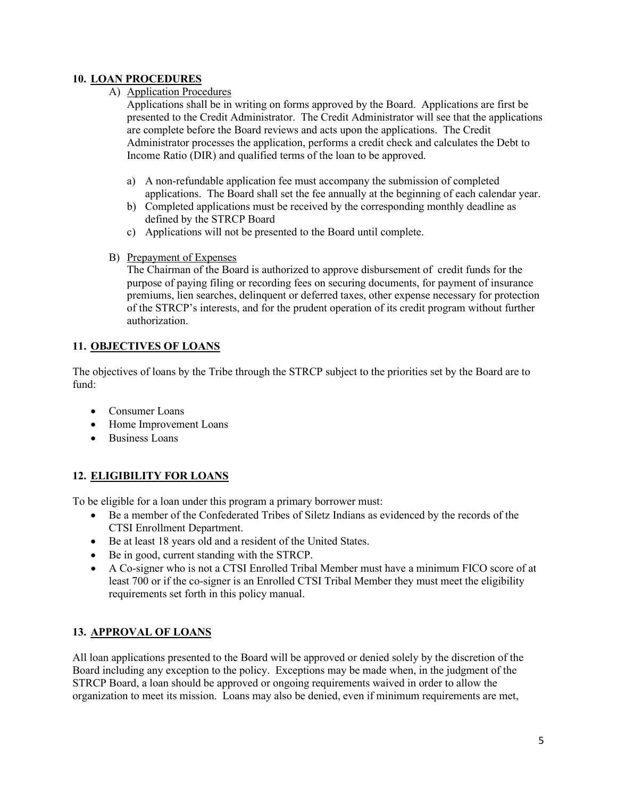## **10. LOAN PROCEDURES**

A) Application Procedures

Applications shall be in writing on forms approved by the Board. Applications are first be presented to the Credit Administrator. The Credit Administrator will see that the applications are complete before the Board reviews and acts upon the applications. The Credit Administrator processes the application, performs a credit check and calculates the Debt to Income Ratio (DIR) and qualified terms of the loan to be approved.

- a) A non-refundable application fee must accompany the submission of completed applications. The Board shall set the fee annually at the beginning of each calendar year.
- b) Completed applications must be received by the corresponding monthly deadline as defined by the STRCP Board
- c) Applications will not be presented to the Board until complete.
- B) Prepayment of Expenses

The Chairman of the Board is authorized to approve disbursement of credit funds for the purpose of paying filing or recording fees on securing documents, for payment of insurance premiums, lien searches, delinquent or deferred taxes, other expense necessary for protection of the STRCP's interests, and for the prudent operation of its credit program without further authorization.

## **11. OBJECTIVES OF LOANS**

The objectives of loans by the Tribe through the STRCP subject to the priorities set by the Board are to fund:

- Consumer Loans
- Home Improvement Loans
- Business Loans

# **12. ELIGIBILITY FOR LOANS**

To be eligible for a loan under this program a primary borrower must:

- Be a member of the Confederated Tribes of Siletz Indians as evidenced by the records of the CTSI Enrollment Department.
- Be at least 18 years old and a resident of the United States.
- Be in good, current standing with the STRCP.
- A Co-signer who is not a CTSI Enrolled Tribal Member must have a minimum FICO score of at least 700 or if the co-signer is an Enrolled CTSI Tribal Member they must meet the eligibility requirements set forth in this policy manual.

## **13. APPROVAL OF LOANS**

All loan applications presented to the Board will be approved or denied solely by the discretion of the Board including any exception to the policy. Exceptions may be made when, in the judgment of the STRCP Board, a loan should be approved or ongoing requirements waived in order to allow the organization to meet its mission. Loans may also be denied, even if minimum requirements are met,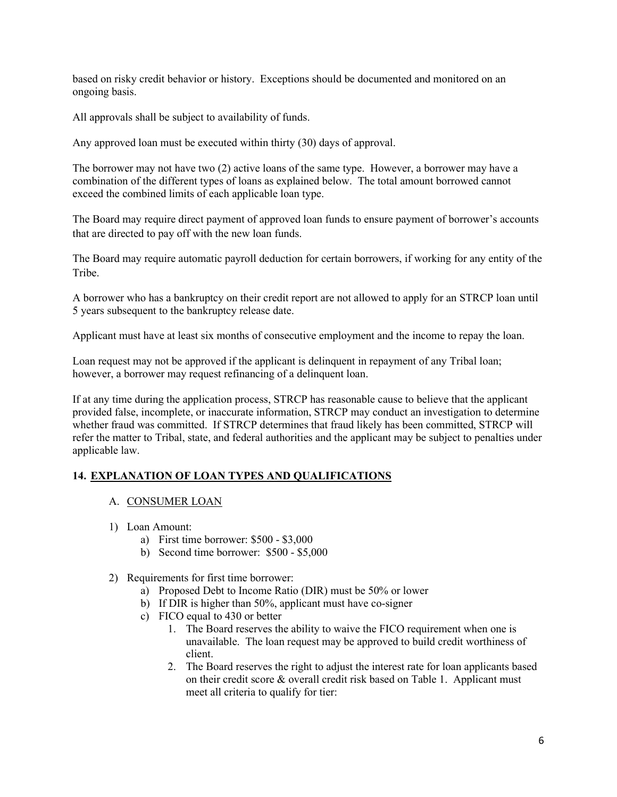based on risky credit behavior or history. Exceptions should be documented and monitored on an ongoing basis.

All approvals shall be subject to availability of funds.

Any approved loan must be executed within thirty (30) days of approval.

The borrower may not have two (2) active loans of the same type. However, a borrower may have a combination of the different types of loans as explained below. The total amount borrowed cannot exceed the combined limits of each applicable loan type.

The Board may require direct payment of approved loan funds to ensure payment of borrower's accounts that are directed to pay off with the new loan funds.

The Board may require automatic payroll deduction for certain borrowers, if working for any entity of the Tribe.

A borrower who has a bankruptcy on their credit report are not allowed to apply for an STRCP loan until 5 years subsequent to the bankruptcy release date.

Applicant must have at least six months of consecutive employment and the income to repay the loan.

Loan request may not be approved if the applicant is delinquent in repayment of any Tribal loan; however, a borrower may request refinancing of a delinquent loan.

If at any time during the application process, STRCP has reasonable cause to believe that the applicant provided false, incomplete, or inaccurate information, STRCP may conduct an investigation to determine whether fraud was committed. If STRCP determines that fraud likely has been committed, STRCP will refer the matter to Tribal, state, and federal authorities and the applicant may be subject to penalties under applicable law.

## **14. EXPLANATION OF LOAN TYPES AND QUALIFICATIONS**

#### A. CONSUMER LOAN

- 1) Loan Amount:
	- a) First time borrower: \$500 \$3,000
	- b) Second time borrower: \$500 \$5,000
- 2) Requirements for first time borrower:
	- a) Proposed Debt to Income Ratio (DIR) must be 50% or lower
	- b) If DIR is higher than 50%, applicant must have co-signer
	- c) FICO equal to 430 or better
		- 1. The Board reserves the ability to waive the FICO requirement when one is unavailable. The loan request may be approved to build credit worthiness of client.
		- 2. The Board reserves the right to adjust the interest rate for loan applicants based on their credit score & overall credit risk based on Table 1. Applicant must meet all criteria to qualify for tier: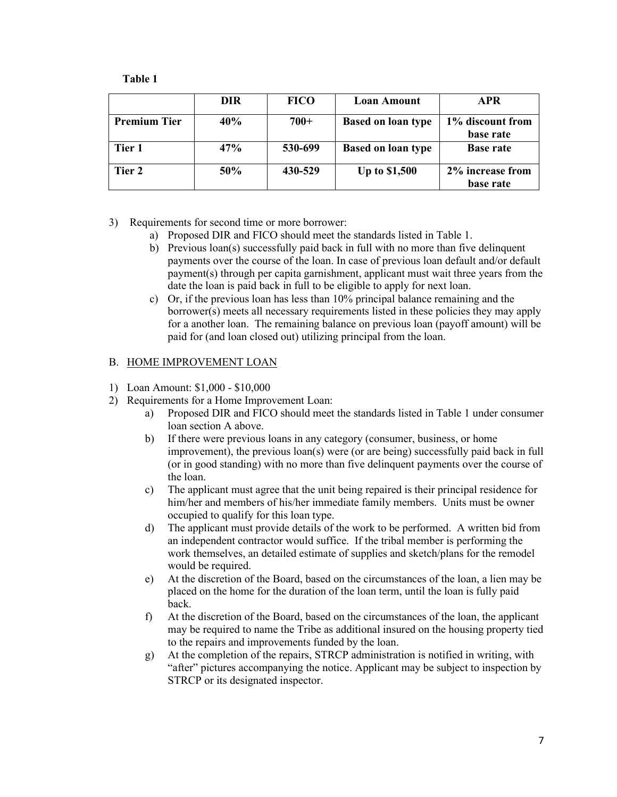#### **Table 1**

|                     | <b>DIR</b> | <b>FICO</b> | <b>Loan Amount</b>        | <b>APR</b>                    |
|---------------------|------------|-------------|---------------------------|-------------------------------|
| <b>Premium Tier</b> | 40%        | $700+$      | <b>Based on loan type</b> | 1% discount from<br>base rate |
| Tier 1              | 47%        | 530-699     | <b>Based on loan type</b> | <b>Base rate</b>              |
| Tier 2              | 50%        | 430-529     | Up to \$1,500             | 2% increase from<br>base rate |

3) Requirements for second time or more borrower:

- a) Proposed DIR and FICO should meet the standards listed in Table 1.
- b) Previous loan(s) successfully paid back in full with no more than five delinquent payments over the course of the loan. In case of previous loan default and/or default payment(s) through per capita garnishment, applicant must wait three years from the date the loan is paid back in full to be eligible to apply for next loan.
- c) Or, if the previous loan has less than 10% principal balance remaining and the borrower(s) meets all necessary requirements listed in these policies they may apply for a another loan. The remaining balance on previous loan (payoff amount) will be paid for (and loan closed out) utilizing principal from the loan.

## B. HOME IMPROVEMENT LOAN

- 1) Loan Amount: \$1,000 \$10,000
- 2) Requirements for a Home Improvement Loan:
	- a) Proposed DIR and FICO should meet the standards listed in Table 1 under consumer loan section A above.
	- b) If there were previous loans in any category (consumer, business, or home improvement), the previous loan(s) were (or are being) successfully paid back in full (or in good standing) with no more than five delinquent payments over the course of the loan.
	- c) The applicant must agree that the unit being repaired is their principal residence for him/her and members of his/her immediate family members. Units must be owner occupied to qualify for this loan type.
	- d) The applicant must provide details of the work to be performed. A written bid from an independent contractor would suffice. If the tribal member is performing the work themselves, an detailed estimate of supplies and sketch/plans for the remodel would be required.
	- e) At the discretion of the Board, based on the circumstances of the loan, a lien may be placed on the home for the duration of the loan term, until the loan is fully paid back.
	- f) At the discretion of the Board, based on the circumstances of the loan, the applicant may be required to name the Tribe as additional insured on the housing property tied to the repairs and improvements funded by the loan.
	- g) At the completion of the repairs, STRCP administration is notified in writing, with "after" pictures accompanying the notice. Applicant may be subject to inspection by STRCP or its designated inspector.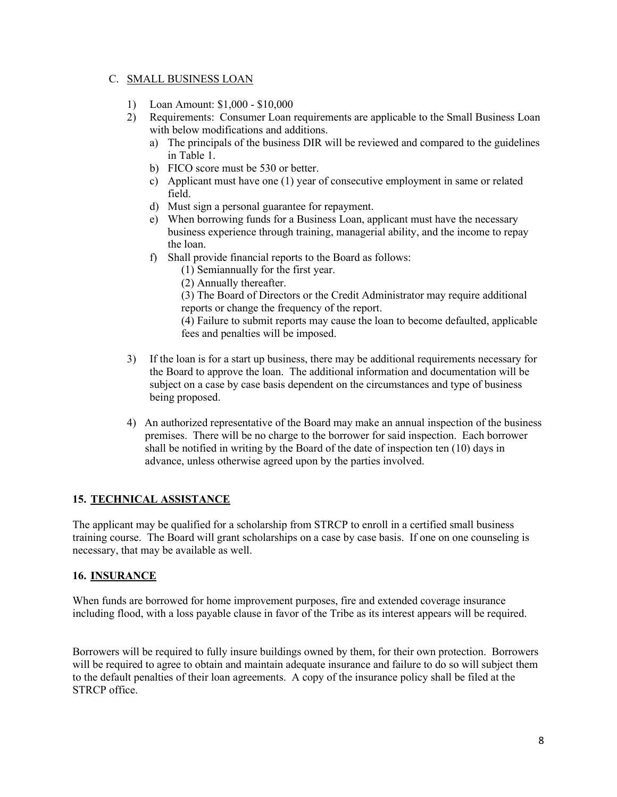#### C. SMALL BUSINESS LOAN

- 1) Loan Amount: \$1,000 \$10,000
- 2) Requirements: Consumer Loan requirements are applicable to the Small Business Loan with below modifications and additions.
	- a) The principals of the business DIR will be reviewed and compared to the guidelines in Table 1.
	- b) FICO score must be 530 or better.
	- c) Applicant must have one (1) year of consecutive employment in same or related field.
	- d) Must sign a personal guarantee for repayment.
	- e) When borrowing funds for a Business Loan, applicant must have the necessary business experience through training, managerial ability, and the income to repay the loan.
	- f) Shall provide financial reports to the Board as follows:
		- (1) Semiannually for the first year.
		- (2) Annually thereafter.
		- (3) The Board of Directors or the Credit Administrator may require additional reports or change the frequency of the report.

(4) Failure to submit reports may cause the loan to become defaulted, applicable fees and penalties will be imposed.

- 3) If the loan is for a start up business, there may be additional requirements necessary for the Board to approve the loan. The additional information and documentation will be subject on a case by case basis dependent on the circumstances and type of business being proposed.
- 4) An authorized representative of the Board may make an annual inspection of the business premises. There will be no charge to the borrower for said inspection. Each borrower shall be notified in writing by the Board of the date of inspection ten (10) days in advance, unless otherwise agreed upon by the parties involved.

## **15. TECHNICAL ASSISTANCE**

The applicant may be qualified for a scholarship from STRCP to enroll in a certified small business training course. The Board will grant scholarships on a case by case basis. If one on one counseling is necessary, that may be available as well.

## **16. INSURANCE**

When funds are borrowed for home improvement purposes, fire and extended coverage insurance including flood, with a loss payable clause in favor of the Tribe as its interest appears will be required.

Borrowers will be required to fully insure buildings owned by them, for their own protection. Borrowers will be required to agree to obtain and maintain adequate insurance and failure to do so will subject them to the default penalties of their loan agreements. A copy of the insurance policy shall be filed at the STRCP office.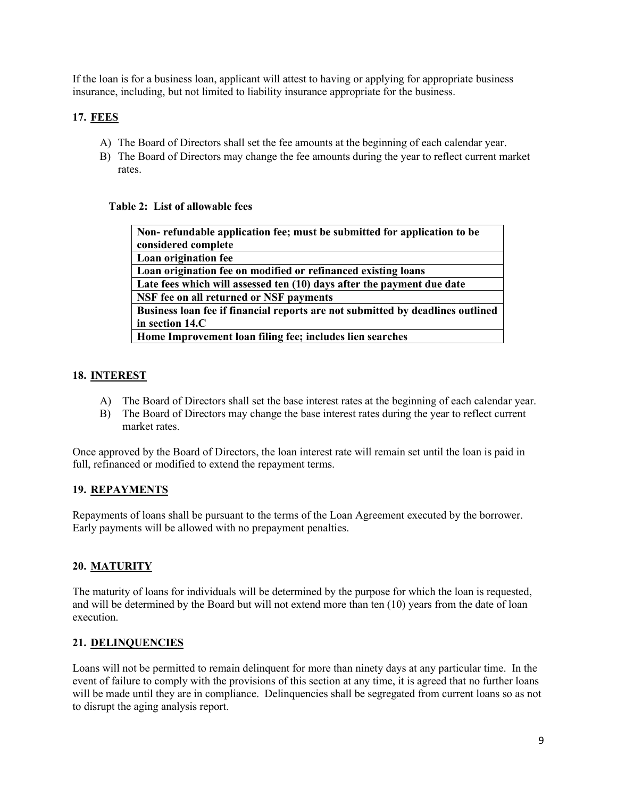If the loan is for a business loan, applicant will attest to having or applying for appropriate business insurance, including, but not limited to liability insurance appropriate for the business.

## **17. FEES**

- A) The Board of Directors shall set the fee amounts at the beginning of each calendar year.
- B) The Board of Directors may change the fee amounts during the year to reflect current market rates.

#### **Table 2: List of allowable fees**

| Non-refundable application fee; must be submitted for application to be        |  |  |
|--------------------------------------------------------------------------------|--|--|
| considered complete                                                            |  |  |
| Loan origination fee                                                           |  |  |
| Loan origination fee on modified or refinanced existing loans                  |  |  |
| Late fees which will assessed ten (10) days after the payment due date         |  |  |
| NSF fee on all returned or NSF payments                                        |  |  |
| Business loan fee if financial reports are not submitted by deadlines outlined |  |  |
| in section 14.C                                                                |  |  |
| Home Improvement loan filing fee; includes lien searches                       |  |  |

#### **18. INTEREST**

- A) The Board of Directors shall set the base interest rates at the beginning of each calendar year.
- B) The Board of Directors may change the base interest rates during the year to reflect current market rates.

Once approved by the Board of Directors, the loan interest rate will remain set until the loan is paid in full, refinanced or modified to extend the repayment terms.

## **19. REPAYMENTS**

Repayments of loans shall be pursuant to the terms of the Loan Agreement executed by the borrower. Early payments will be allowed with no prepayment penalties.

## **20. MATURITY**

The maturity of loans for individuals will be determined by the purpose for which the loan is requested, and will be determined by the Board but will not extend more than ten (10) years from the date of loan execution.

#### **21. DELINQUENCIES**

Loans will not be permitted to remain delinquent for more than ninety days at any particular time. In the event of failure to comply with the provisions of this section at any time, it is agreed that no further loans will be made until they are in compliance. Delinquencies shall be segregated from current loans so as not to disrupt the aging analysis report.